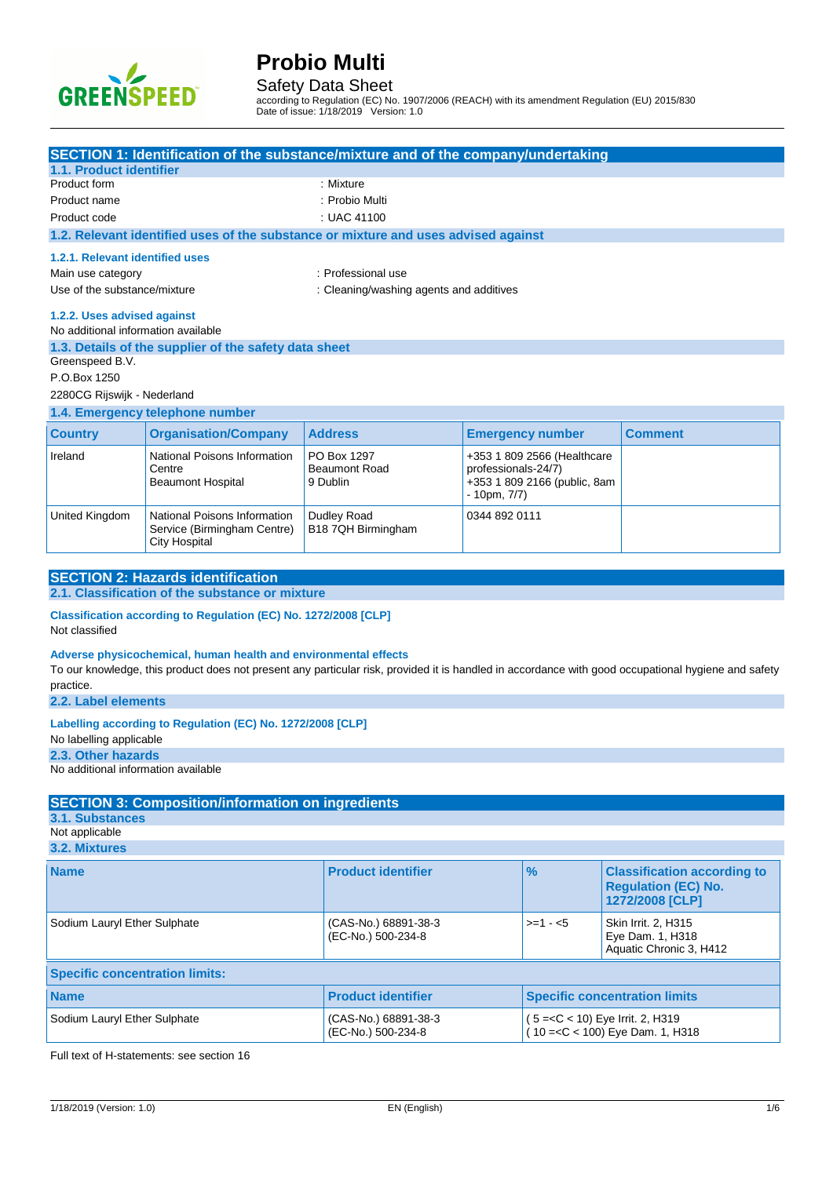

Safety Data Sheet

according to Regulation (EC) No. 1907/2006 (REACH) with its amendment Regulation (EU) 2015/830 Date of issue: 1/18/2019 Version: 1.0

| <b>SECTION 1: Identification of the substance/mixture and of the company/undertaking</b>              |                                                                                             |                                                                                    |                                     |                                                             |                                                                                                                                                     |
|-------------------------------------------------------------------------------------------------------|---------------------------------------------------------------------------------------------|------------------------------------------------------------------------------------|-------------------------------------|-------------------------------------------------------------|-----------------------------------------------------------------------------------------------------------------------------------------------------|
| 1.1. Product identifier<br>Product form                                                               |                                                                                             | : Mixture                                                                          |                                     |                                                             |                                                                                                                                                     |
| Product name                                                                                          | : Probio Multi                                                                              |                                                                                    |                                     |                                                             |                                                                                                                                                     |
| Product code<br>: UAC 41100                                                                           |                                                                                             |                                                                                    |                                     |                                                             |                                                                                                                                                     |
|                                                                                                       |                                                                                             | 1.2. Relevant identified uses of the substance or mixture and uses advised against |                                     |                                                             |                                                                                                                                                     |
| 1.2.1. Relevant identified uses                                                                       |                                                                                             |                                                                                    |                                     |                                                             |                                                                                                                                                     |
| Main use category                                                                                     |                                                                                             | : Professional use                                                                 |                                     |                                                             |                                                                                                                                                     |
| Use of the substance/mixture                                                                          |                                                                                             | : Cleaning/washing agents and additives                                            |                                     |                                                             |                                                                                                                                                     |
| 1.2.2. Uses advised against<br>No additional information available<br>Greenspeed B.V.<br>P.O.Box 1250 | 1.3. Details of the supplier of the safety data sheet                                       |                                                                                    |                                     |                                                             |                                                                                                                                                     |
| 2280CG Rijswijk - Nederland                                                                           |                                                                                             |                                                                                    |                                     |                                                             |                                                                                                                                                     |
|                                                                                                       | 1.4. Emergency telephone number                                                             |                                                                                    |                                     |                                                             |                                                                                                                                                     |
| <b>Country</b>                                                                                        | <b>Organisation/Company</b>                                                                 | <b>Address</b>                                                                     |                                     | <b>Emergency number</b>                                     | <b>Comment</b>                                                                                                                                      |
| Ireland                                                                                               | National Poisons Information<br>Centre<br><b>Beaumont Hospital</b>                          | PO Box 1297<br><b>Beaumont Road</b><br>9 Dublin                                    | professionals-24/7)<br>- 10pm, 7/7) | +353 1 809 2566 (Healthcare<br>+353 1 809 2166 (public, 8am |                                                                                                                                                     |
| United Kingdom                                                                                        | National Poisons Information<br>Service (Birmingham Centre)<br>City Hospital                | Dudley Road<br>B18 7QH Birmingham                                                  | 0344 892 0111                       |                                                             |                                                                                                                                                     |
|                                                                                                       |                                                                                             |                                                                                    |                                     |                                                             |                                                                                                                                                     |
|                                                                                                       | <b>SECTION 2: Hazards identification</b><br>2.1. Classification of the substance or mixture |                                                                                    |                                     |                                                             |                                                                                                                                                     |
|                                                                                                       |                                                                                             |                                                                                    |                                     |                                                             |                                                                                                                                                     |
| Not classified                                                                                        | Classification according to Regulation (EC) No. 1272/2008 [CLP]                             |                                                                                    |                                     |                                                             |                                                                                                                                                     |
| practice.                                                                                             | Adverse physicochemical, human health and environmental effects                             |                                                                                    |                                     |                                                             | To our knowledge, this product does not present any particular risk, provided it is handled in accordance with good occupational hygiene and safety |
| 2.2. Label elements                                                                                   |                                                                                             |                                                                                    |                                     |                                                             |                                                                                                                                                     |
| No labelling applicable                                                                               | Labelling according to Regulation (EC) No. 1272/2008 [CLP]                                  |                                                                                    |                                     |                                                             |                                                                                                                                                     |
| 2.3. Other hazards                                                                                    |                                                                                             |                                                                                    |                                     |                                                             |                                                                                                                                                     |
| No additional information available                                                                   |                                                                                             |                                                                                    |                                     |                                                             |                                                                                                                                                     |
|                                                                                                       | <b>SECTION 3: Composition/information on ingredients</b>                                    |                                                                                    |                                     |                                                             |                                                                                                                                                     |
| 3.1. Substances                                                                                       |                                                                                             |                                                                                    |                                     |                                                             |                                                                                                                                                     |
| Not applicable                                                                                        |                                                                                             |                                                                                    |                                     |                                                             |                                                                                                                                                     |
| 3.2. Mixtures                                                                                         |                                                                                             |                                                                                    |                                     |                                                             |                                                                                                                                                     |
| <b>Name</b>                                                                                           |                                                                                             | <b>Product identifier</b>                                                          |                                     | $\%$                                                        | <b>Classification according to</b><br><b>Regulation (EC) No.</b><br>1272/2008 [CLP]                                                                 |
| Sodium Lauryl Ether Sulphate                                                                          |                                                                                             | (CAS-No.) 68891-38-3<br>(EC-No.) 500-234-8                                         |                                     | $>=1 - 5$                                                   | Skin Irrit. 2, H315<br>Eye Dam. 1, H318<br>Aquatic Chronic 3, H412                                                                                  |
| <b>Specific concentration limits:</b>                                                                 |                                                                                             |                                                                                    |                                     |                                                             |                                                                                                                                                     |
| <b>Product identifier</b><br><b>Specific concentration limits</b><br><b>Name</b>                      |                                                                                             |                                                                                    |                                     |                                                             |                                                                                                                                                     |
|                                                                                                       |                                                                                             |                                                                                    |                                     |                                                             |                                                                                                                                                     |
| Sodium Lauryl Ether Sulphate                                                                          |                                                                                             | (CAS-No.) 68891-38-3<br>(EC-No.) 500-234-8                                         |                                     | (5 = < C < 10) Eye Irrit. 2, H319                           | (10 = < C < 100) Eye Dam. 1, H318                                                                                                                   |

Full text of H-statements: see section 16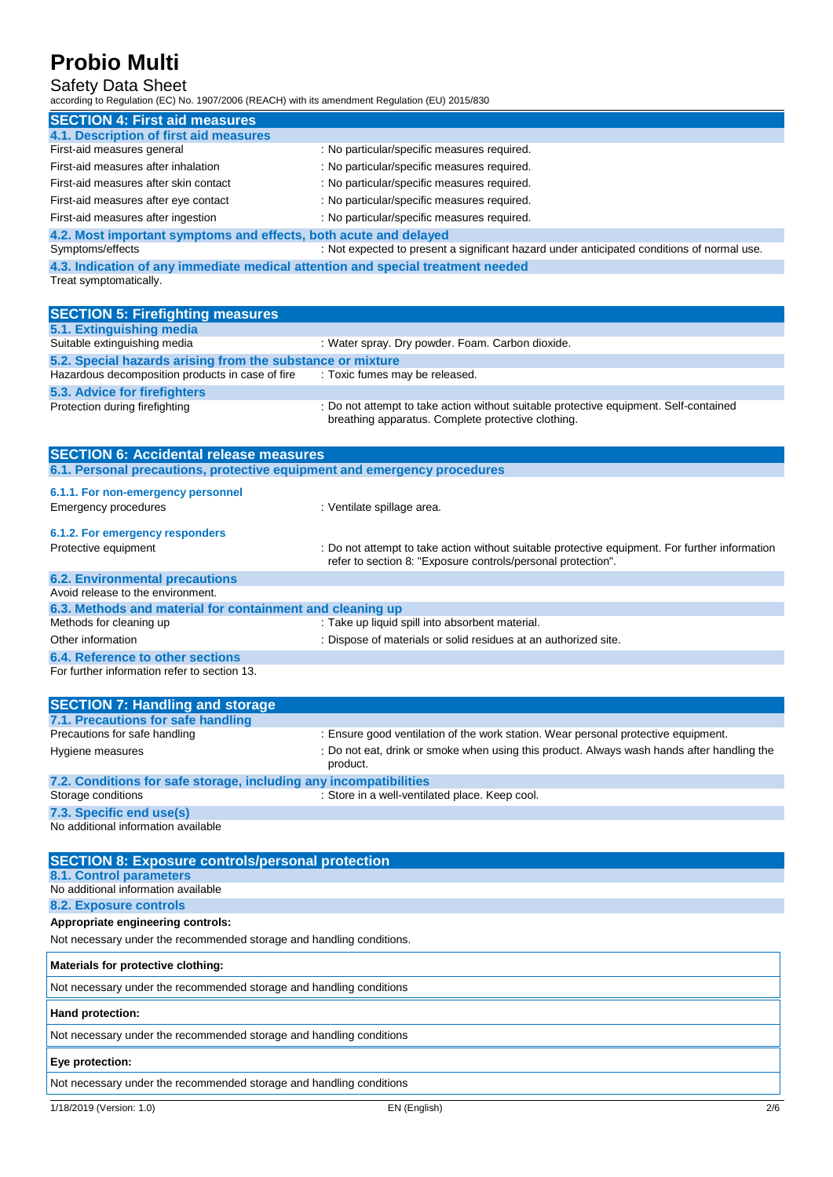## Safety Data Sheet

according to Regulation (EC) No. 1907/2006 (REACH) with its amendment Regulation (EU) 2015/830

| <b>SECTION 4: First aid measures</b>                             |                                                                                                     |
|------------------------------------------------------------------|-----------------------------------------------------------------------------------------------------|
| 4.1. Description of first aid measures                           |                                                                                                     |
| First-aid measures general                                       | : No particular/specific measures required.                                                         |
| First-aid measures after inhalation                              | : No particular/specific measures required.                                                         |
| First-aid measures after skin contact                            | : No particular/specific measures required.                                                         |
| First-aid measures after eye contact                             | : No particular/specific measures required.                                                         |
| First-aid measures after ingestion                               | : No particular/specific measures required.                                                         |
| 4.2. Most important symptoms and effects, both acute and delayed |                                                                                                     |
| Symptoms/effects                                                 | : Not expected to present a significant hazard under anticipated conditions of normal use.          |
|                                                                  | A lookage transferred leisage bare activated lesibora atcibarming var de activate and the bare of a |

**immediate medical attention and special treatment needical attention and special treatment need-4.3. Indication of an Treat symptomatically.** 

| <b>SECTION 5: Firefighting measures</b>                                  |                                                                                                                                             |  |  |
|--------------------------------------------------------------------------|---------------------------------------------------------------------------------------------------------------------------------------------|--|--|
| 5.1. Extinguishing media                                                 |                                                                                                                                             |  |  |
| Suitable extinguishing media                                             | : Water spray. Dry powder. Foam. Carbon dioxide.                                                                                            |  |  |
| 5.2. Special hazards arising from the substance or mixture               |                                                                                                                                             |  |  |
| Hazardous decomposition products in case of fire                         | : Toxic fumes may be released.                                                                                                              |  |  |
| 5.3. Advice for firefighters                                             |                                                                                                                                             |  |  |
| Protection during firefighting                                           | : Do not attempt to take action without suitable protective equipment. Self-contained<br>breathing apparatus. Complete protective clothing. |  |  |
| <b>SECTION 6: Accidental release measures</b>                            |                                                                                                                                             |  |  |
| 6.1. Personal precautions, protective equipment and emergency procedures |                                                                                                                                             |  |  |

## **6.1.1. For non-emergency personnel**

| Emergency procedures                                      | : Ventilate spillage area.                                                                                                                                     |
|-----------------------------------------------------------|----------------------------------------------------------------------------------------------------------------------------------------------------------------|
| 6.1.2. For emergency responders<br>Protective equipment   | : Do not attempt to take action without suitable protective equipment. For further information<br>refer to section 8: "Exposure controls/personal protection". |
| <b>6.2. Environmental precautions</b>                     |                                                                                                                                                                |
| Avoid release to the environment.                         |                                                                                                                                                                |
| 6.3. Methods and material for containment and cleaning up |                                                                                                                                                                |
| Methods for cleaning up                                   | : Take up liquid spill into absorbent material.                                                                                                                |
| Other information                                         | : Dispose of materials or solid residues at an authorized site.                                                                                                |
| 6.4. Reference to other sections                          |                                                                                                                                                                |

For further information refer to section 13.

| <b>SECTION 7: Handling and storage</b>                            |                                                                                                        |
|-------------------------------------------------------------------|--------------------------------------------------------------------------------------------------------|
| 7.1. Precautions for safe handling                                |                                                                                                        |
| Precautions for safe handling                                     | : Ensure good ventilation of the work station. Wear personal protective equipment.                     |
| Hygiene measures                                                  | : Do not eat, drink or smoke when using this product. Always wash hands after handling the<br>product. |
| 7.2. Conditions for safe storage, including any incompatibilities |                                                                                                        |
| Storage conditions                                                | : Store in a well-ventilated place. Keep cool.                                                         |
| 72 Concific and usafel                                            |                                                                                                        |

**7.3. Specific end use(s)** No additional information available

| <b>SECTION 8: Exposure controls/personal protection</b>              |
|----------------------------------------------------------------------|
| 8.1. Control parameters                                              |
| No additional information available                                  |
| 8.2. Exposure controls                                               |
| Appropriate engineering controls:                                    |
| Not necessary under the recommended storage and handling conditions. |
| Materials for protective clothing:                                   |
| Not necessary under the recommended storage and handling conditions  |
| Hand protection:                                                     |
| Not necessary under the recommended storage and handling conditions  |
| Eye protection:                                                      |
| Not necessary under the recommended storage and handling conditions  |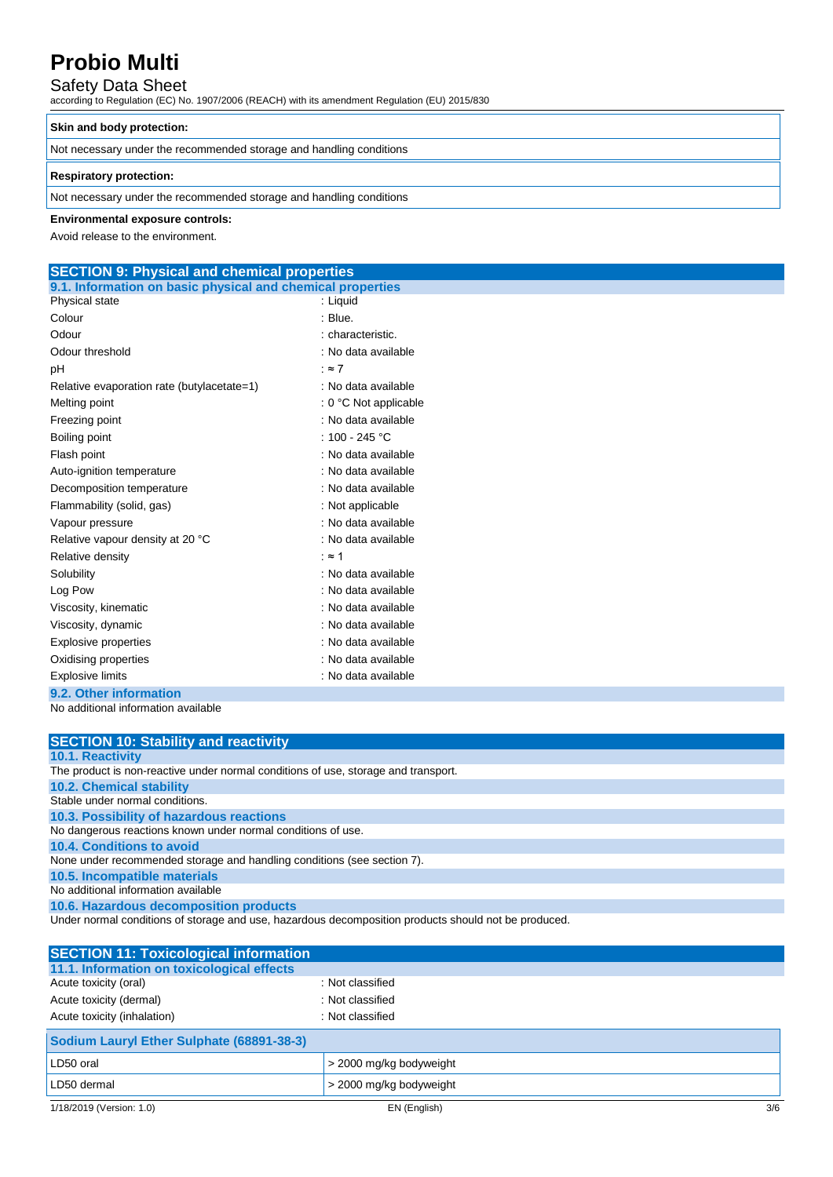## Safety Data Sheet

according to Regulation (EC) No. 1907/2006 (REACH) with its amendment Regulation (EU) 2015/830

### **Skin and body protection:**

Not necessary under the recommended storage and handling conditions

### **Respiratory protection:**

Not necessary under the recommended storage and handling conditions

### **Environmental exposure controls:**

Avoid release to the environment.

## **SECTION 9: Physical and chemical properties**

| 9.1. Information on basic physical and chemical properties |                         |
|------------------------------------------------------------|-------------------------|
| Physical state                                             | : Liquid                |
| Colour                                                     | : Blue.                 |
| Odour                                                      | : characteristic.       |
| Odour threshold                                            | : No data available     |
| рH                                                         | : $\approx 7$           |
| Relative evaporation rate (butylacetate=1)                 | : No data available     |
| Melting point                                              | $: 0 °C$ Not applicable |
| Freezing point                                             | : No data available     |
| Boiling point                                              | : 100 - 245 °C          |
| Flash point                                                | : No data available     |
| Auto-ignition temperature                                  | : No data available     |
| Decomposition temperature                                  | : No data available     |
| Flammability (solid, gas)                                  | : Not applicable        |
| Vapour pressure                                            | : No data available     |
| Relative vapour density at 20 °C                           | : No data available     |
| Relative density                                           | ∶≈ 1                    |
| Solubility                                                 | : No data available     |
| Log Pow                                                    | : No data available     |
| Viscosity, kinematic                                       | : No data available     |
| Viscosity, dynamic                                         | : No data available     |
| <b>Explosive properties</b>                                | : No data available     |
| Oxidising properties                                       | : No data available     |
| <b>Explosive limits</b>                                    | : No data available     |
| 9.2. Other information                                     |                         |
| No additional information available                        |                         |

| <b>SECTION 10: Stability and reactivity</b>                                                          |
|------------------------------------------------------------------------------------------------------|
| <b>10.1. Reactivity</b>                                                                              |
| The product is non-reactive under normal conditions of use, storage and transport.                   |
| <b>10.2. Chemical stability</b>                                                                      |
| Stable under normal conditions.                                                                      |
| 10.3. Possibility of hazardous reactions                                                             |
| No dangerous reactions known under normal conditions of use.                                         |
| 10.4. Conditions to avoid                                                                            |
| None under recommended storage and handling conditions (see section 7).                              |
| 10.5. Incompatible materials                                                                         |
| No additional information available                                                                  |
| 10.6. Hazardous decomposition products                                                               |
| Under normal conditions of storage and use, hazardous decomposition products should not be produced. |

| <b>SECTION 11: Toxicological information</b> |                         |     |
|----------------------------------------------|-------------------------|-----|
| 11.1. Information on toxicological effects   |                         |     |
| Acute toxicity (oral)                        | : Not classified        |     |
| Acute toxicity (dermal)                      | : Not classified        |     |
| Acute toxicity (inhalation)                  | : Not classified        |     |
| Sodium Lauryl Ether Sulphate (68891-38-3)    |                         |     |
| LD50 oral                                    | > 2000 mg/kg bodyweight |     |
| LD50 dermal                                  | > 2000 mg/kg bodyweight |     |
| 1/18/2019 (Version: 1.0)                     | EN (English)            | 3/6 |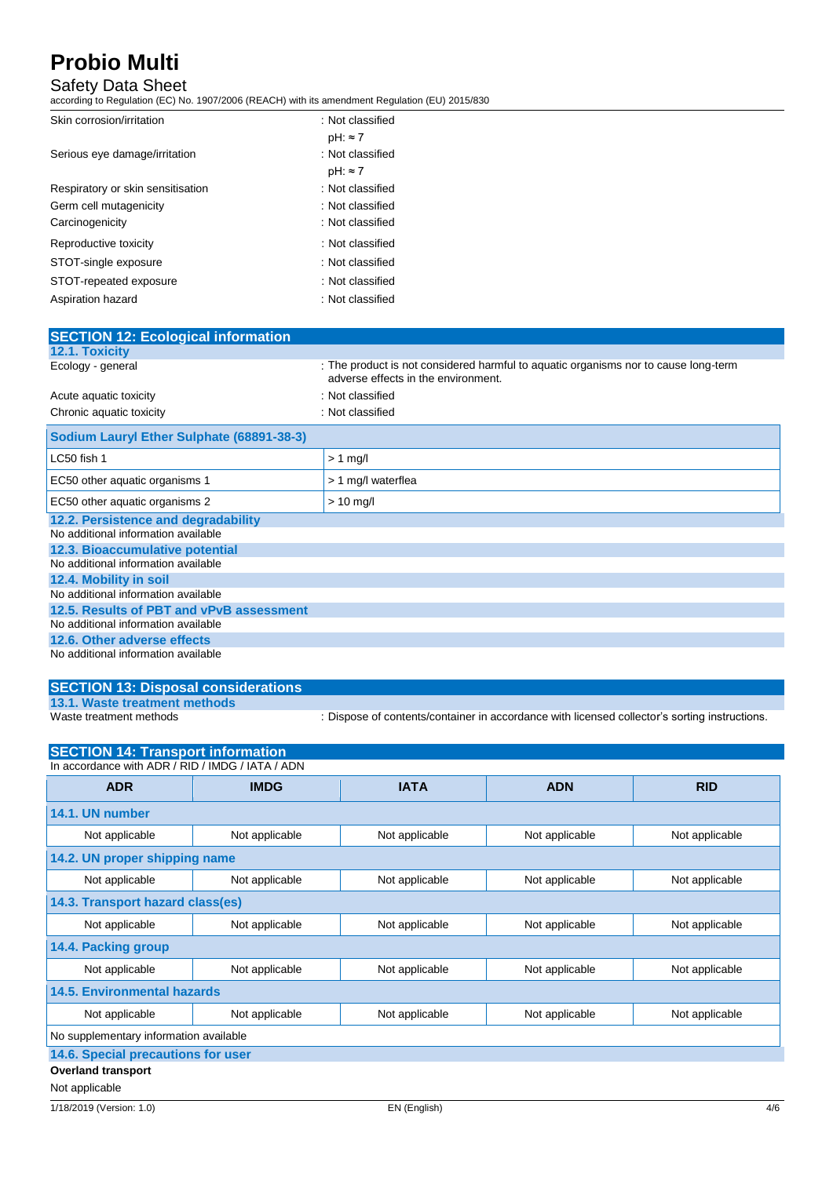## Safety Data Sheet

according to Regulation (EC) No. 1907/2006 (REACH) with its amendment Regulation (EU) 2015/830

| Skin corrosion/irritation         | : Not classified |
|-----------------------------------|------------------|
|                                   | pH: ≈ 7          |
| Serious eye damage/irritation     | : Not classified |
|                                   | $pH: \approx 7$  |
| Respiratory or skin sensitisation | : Not classified |
| Germ cell mutagenicity            | : Not classified |
| Carcinogenicity                   | : Not classified |
| Reproductive toxicity             | : Not classified |
| STOT-single exposure              | : Not classified |
| STOT-repeated exposure            | : Not classified |
| Aspiration hazard                 | : Not classified |

| <b>SECTION 12: Ecological information</b> |                                                                                                                            |
|-------------------------------------------|----------------------------------------------------------------------------------------------------------------------------|
| <b>12.1. Toxicity</b>                     |                                                                                                                            |
| Ecology - general                         | : The product is not considered harmful to aquatic organisms nor to cause long-term<br>adverse effects in the environment. |
| Acute aquatic toxicity                    | : Not classified                                                                                                           |
| Chronic aquatic toxicity                  | : Not classified                                                                                                           |
| Sodium Lauryl Ether Sulphate (68891-38-3) |                                                                                                                            |
| LC50 fish 1                               | $> 1$ mg/l                                                                                                                 |
| EC50 other aquatic organisms 1            | > 1 mg/l waterflea                                                                                                         |
| EC50 other aquatic organisms 2            | $> 10$ mg/l                                                                                                                |
| 12.2. Persistence and degradability       |                                                                                                                            |
| No additional information available       |                                                                                                                            |
| 12.3. Bioaccumulative potential           |                                                                                                                            |
| No additional information available       |                                                                                                                            |
| 12.4. Mobility in soil                    |                                                                                                                            |
| No additional information available       |                                                                                                                            |
| 12.5. Results of PBT and vPvB assessment  |                                                                                                                            |
| No additional information available       |                                                                                                                            |
| 12.6. Other adverse effects               |                                                                                                                            |
| No additional information available       |                                                                                                                            |

## **SECTION 13: Disposal considerations 13.1. Waste treatment methods**

: Dispose of contents/container in accordance with licensed collector's sorting instructions.

| <b>SECTION 14: Transport information</b>         |                |                |                |                |  |
|--------------------------------------------------|----------------|----------------|----------------|----------------|--|
| In accordance with ADR / RID / IMDG / IATA / ADN |                |                |                |                |  |
| <b>ADR</b>                                       | <b>IMDG</b>    | <b>IATA</b>    | <b>ADN</b>     | <b>RID</b>     |  |
| 14.1. UN number                                  |                |                |                |                |  |
| Not applicable                                   | Not applicable | Not applicable | Not applicable | Not applicable |  |
| 14.2. UN proper shipping name                    |                |                |                |                |  |
| Not applicable                                   | Not applicable | Not applicable | Not applicable | Not applicable |  |
| 14.3. Transport hazard class(es)                 |                |                |                |                |  |
| Not applicable                                   | Not applicable | Not applicable | Not applicable | Not applicable |  |
| 14.4. Packing group                              |                |                |                |                |  |
| Not applicable                                   | Not applicable | Not applicable | Not applicable | Not applicable |  |
| <b>14.5. Environmental hazards</b>               |                |                |                |                |  |
| Not applicable                                   | Not applicable | Not applicable | Not applicable | Not applicable |  |
| No supplementary information available           |                |                |                |                |  |
| 14.6. Special precautions for user               |                |                |                |                |  |
| <b>Overland transport</b>                        |                |                |                |                |  |
| Not applicable                                   |                |                |                |                |  |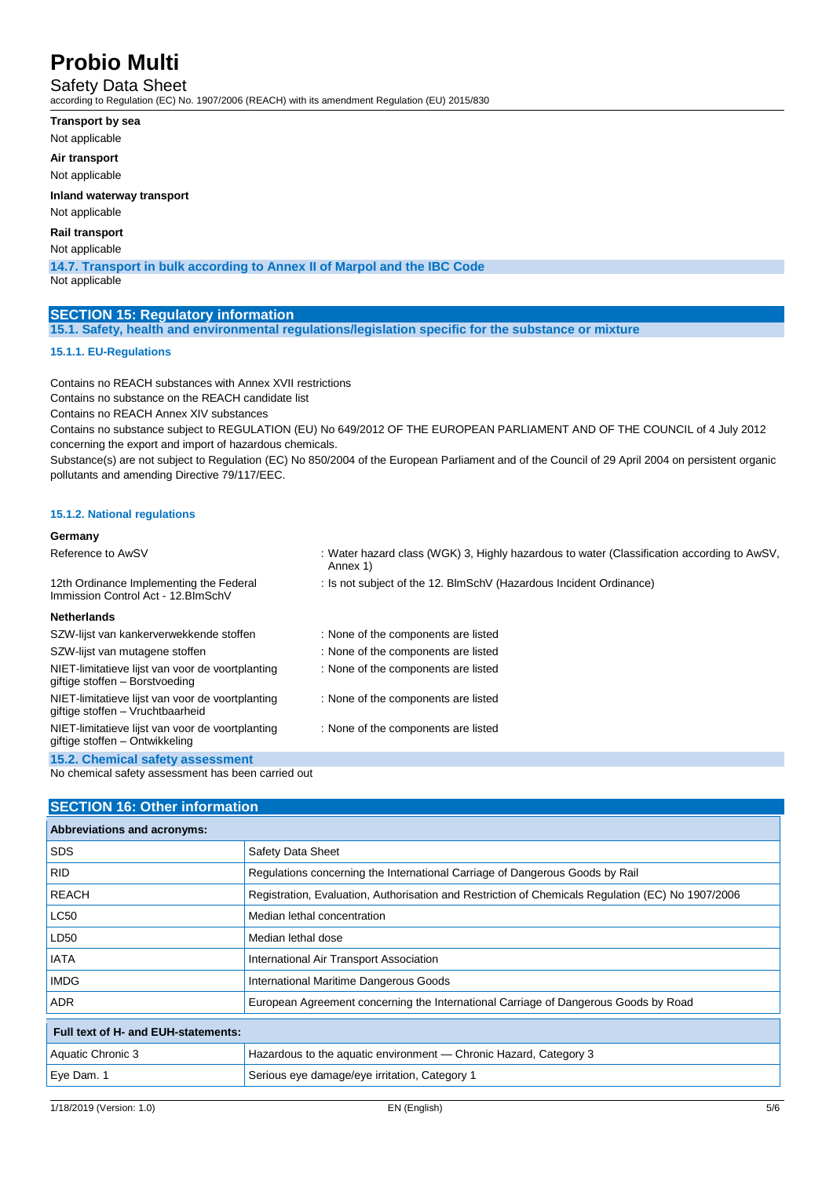Safety Data Sheet

according to Regulation (EC) No. 1907/2006 (REACH) with its amendment Regulation (EU) 2015/830

- **Transport by sea**
- Not applicable

**Air transport**

Not applicable

**Inland waterway transport**

Not applicable

### **Rail transport**

Not applicable

**14.7. Transport in bulk according to Annex II of Marpol and the IBC Code**

Not applicable

### **SECTION 15: Regulatory information**

**15.1. Safety, health and environmental regulations/legislation specific for the substance or mixture**

### **15.1.1. EU-Regulations**

Contains no REACH substances with Annex XVII restrictions Contains no substance on the REACH candidate list

Contains no REACH Annex XIV substances

Contains no substance subject to REGULATION (EU) No 649/2012 OF THE EUROPEAN PARLIAMENT AND OF THE COUNCIL of 4 July 2012 concerning the export and import of hazardous chemicals.

Substance(s) are not subject to Regulation (EC) No 850/2004 of the European Parliament and of the Council of 29 April 2004 on persistent organic pollutants and amending Directive 79/117/EEC.

### **15.1.2. National regulations**

#### **Germany** Reference to AwSV : Water hazard class (WGK) 3, Highly hazardous to water (Classification according to AwSV, Annex 1) 12th Ordinance Implementing the Federal Immission Control Act - 12.BImSchV : Is not subject of the 12. BlmSchV (Hazardous Incident Ordinance) **Netherlands** SZW-lijst van kankerverwekkende stoffen : None of the components are listed SZW-lijst van mutagene stoffen : None of the components are listed NIET-limitatieve lijst van voor de voortplanting giftige stoffen – Borstvoeding : None of the components are listed NIET-limitatieve lijst van voor de voortplanting giftige stoffen – Vruchtbaarheid : None of the components are listed NIET-limitatieve lijst van voor de voortplanting giftige stoffen – Ontwikkeling : None of the components are listed **15.2. Chemical safety assessment**

No chemical safety assessment has been carried out

### **SECTION 16: Other information**

| <b>Abbreviations and acronyms:</b>  |                                                                                                   |
|-------------------------------------|---------------------------------------------------------------------------------------------------|
| <b>SDS</b>                          | Safety Data Sheet                                                                                 |
| <b>RID</b>                          | Regulations concerning the International Carriage of Dangerous Goods by Rail                      |
| <b>REACH</b>                        | Registration, Evaluation, Authorisation and Restriction of Chemicals Regulation (EC) No 1907/2006 |
| <b>LC50</b>                         | Median lethal concentration                                                                       |
| LD50                                | Median lethal dose                                                                                |
| <b>IATA</b>                         | International Air Transport Association                                                           |
| <b>IMDG</b>                         | International Maritime Dangerous Goods                                                            |
| <b>ADR</b>                          | European Agreement concerning the International Carriage of Dangerous Goods by Road               |
| Full text of H- and EUH-statements: |                                                                                                   |
| Aquatic Chronic 3                   | Hazardous to the aquatic environment — Chronic Hazard, Category 3                                 |
| Eye Dam. 1                          | Serious eye damage/eye irritation, Category 1                                                     |